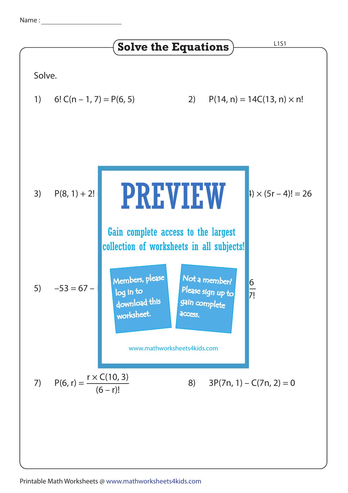